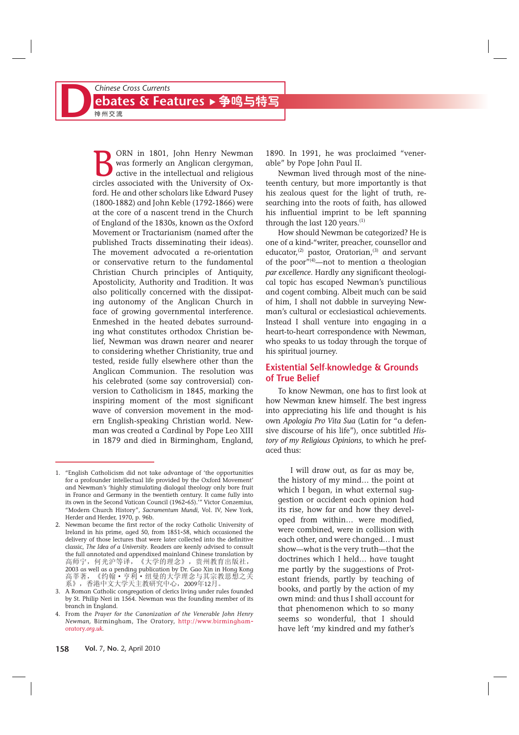## **Chinese Cross Currents<br>
<b>D**<br> **CONTER BY A READ POINTING SET A READ PRIME SET A READ PRIME SET A READ PRIME SET A READ PRIME SET A READ PRIME SET AND READ PRIME SET A READ PRIME SET A READ PRIME SET A READ PRIME SET A READ** ebates & Features ▶ 争鸣与特写

**B** ORN in 1801, John Henry Newman<br>
was formerly an Anglican clergyman,<br>
active in the intellectual and religious<br>
circles associated with the University of Oxwas formerly an Anglican clergyman, circles associated with the University of Oxford. He and other scholars like Edward Pusey (1800-1882) and John Keble (1792-1866) were at the core of a nascent trend in the Church of England of the 1830s, known as the Oxford Movement or Tractarianism (named after the published Tracts disseminating their ideas). The movement advocated a re-orientation or conservative return to the fundamental Christian Church principles of Antiquity, Apostolicity, Authority and Tradition. It was also politically concerned with the dissipating autonomy of the Anglican Church in face of growing governmental interference. Enmeshed in the heated debates surrounding what constitutes orthodox Christian belief, Newman was drawn nearer and nearer to considering whether Christianity, true and tested, reside fully elsewhere other than the Anglican Communion. The resolution was his celebrated (some say controversial) conversion to Catholicism in 1845, marking the inspiring moment of the most significant wave of conversion movement in the modern English-speaking Christian world. Newman was created a Cardinal by Pope Leo XIII in 1879 and died in Birmingham, England,

2. Newman became the first rector of the rocky Catholic University of Ireland in his prime, aged 50, from 1851-58, which occasioned the delivery of those lectures that were later collected into the definitive classic, *The Idea of a University*. Readers are keenly advised to consult the full annotated and appendixed mainland Chinese translation by 高师宁, 何光沪等译, 《大学的理念》, 贵州教育出版社, 2003 as well as a pending publication by Dr. Gao Xin in Hong Kong<br>高莘著,《约翰•亨利•纽曼的大学理念与其宗教思想之关 高莘著, 《约翰·亨利·纽曼的大学理念与其宗》<br>系》, 香港中文大学天主教研究中心, 2009年12月。

1890. In 1991, he was proclaimed "venerable" by Pope John Paul II.

Newman lived through most of the nineteenth century, but more importantly is that his zealous quest for the light of truth, researching into the roots of faith, has allowed his influential imprint to be left spanning through the last 120 years.<sup>(1)</sup>

How should Newman be categorized? He is one of a kind-"writer, preacher, counsellor and educator,<sup>(2)</sup> pastor, Oratorian,<sup>(3)</sup> and servant of the poor<sup> $\overline{r}$ (4)—not to mention a theologian</sup> *par excellence*. Hardly any significant theological topic has escaped Newman's punctilious and cogent combing. Albeit much can be said of him, I shall not dabble in surveying Newman's cultural or ecclesiastical achievements. Instead I shall venture into engaging in a heart-to-heart correspondence with Newman, who speaks to us today through the torque of his spiritual journey.

#### **Existential Self**-**knowledge & Grounds of True Belief**

To know Newman, one has to first look at how Newman knew himself. The best ingress into appreciating his life and thought is his own *Apologia Pro Vita Sua* (Latin for "a defensive discourse of his life"), once subtitled *History of my Religious Opinions*, to which he prefaced thus:

I will draw out, as far as may be, the history of my mind… the point at which I began, in what external suggestion or accident each opinion had its rise, how far and how they developed from within… were modified, were combined, were in collision with each other, and were changed… I must show—what is the very truth—that the doctrines which I held… have taught me partly by the suggestions of Protestant friends, partly by teaching of books, and partly by the action of my own mind: and thus I shall account for that phenomenon which to so many seems so wonderful, that I should have left 'my kindred and my father's

<sup>1. &</sup>quot;English Catholicism did not take advantage of 'the opportunities for a profounder intellectual life provided by the Oxford Movement' and Newman's 'highly stimulating dialogal theology only bore fruit in France and Germany in the twentieth century. It came fully into its own in the Second Vatican Council (1962-65).'" Victor Conzemius, "Modern Church History", *Sacramentum Mundi*, Vol. IV, New York, Herder and Herder, 1970, p. 96b.

<sup>3.</sup> A Roman Catholic congregation of clerics living under rules founded by St. Philip Neri in 1564. Newman was the founding member of its branch in England.

<sup>4.</sup> From the *Prayer for the Canonization of the Venerable John Henry Newman,* Birmingham, The Oratory, http://www.birmingham oratory.*org.uk.*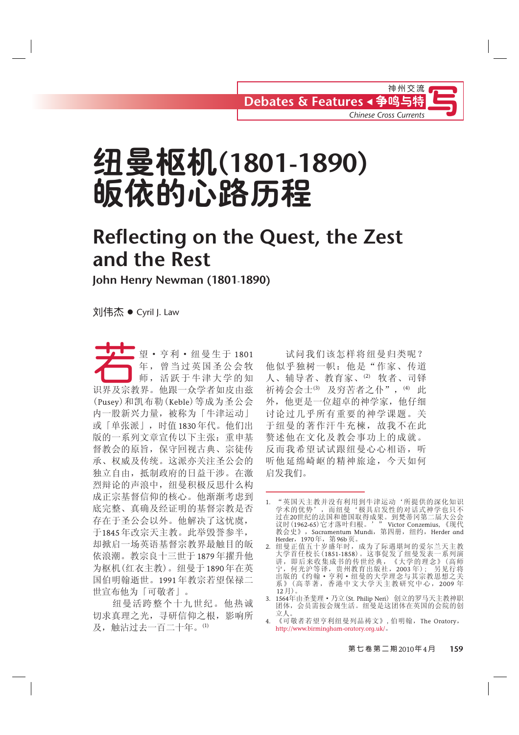# **纽曼枢机(1801-1890)** 皈依的心路历程

### **Reflecting on the Quest, the Zest and the Rest**

**John Henry Newman (1801**-**1890)**

刘伟杰 ● Cyril J. Law

ැᳯgѼ߽g㒑᳐⫳Ѣ <sup>1801</sup> Ꮬˈ⌏䎗Ѣ⠯⋹ᄺⱘⶹ 年, 曾当过英国圣公会牧 识界及宗教界。他跟一众学者如皮由兹 (Pusey) 和凯布勒 (Keble) 等成为圣公会 内一股新兴力量,被称为「牛津运动」 或「单张派」,时值1830年代。他们出 版的一系列文章宣传以下主张: 重申基 督教会的原旨, 保守回视古典、宗徒传 承、权威及传统。这派亦关注圣公会的 独立自由, 抵制政府的日益干涉。在激 烈辩论的声浪中, 纽曼积极反思什么构 成正宗基督信仰的核心。他渐渐考虑到 底完整、真确及经证明的基督宗教是否 存在于圣公会以外。他解决了这忧虞, 于1845年改宗天主教。此举毁誉参半, 却掀启一场英语基督宗教界最触目的皈 依浪潮。教宗良十三世于1879年擢升他 为枢机(红衣主教)。纽曼于1890年在英 国伯明翰逝世。1991年教宗若望保禄二 世宣布他为「可敬者」。

纽曼活跨整个十九世纪。他热诚 切求真理之光, 寻研信仰之根, 影响所 及, 触沾过去一百二十年。(1)

试问我们该怎样将纽曼归类呢? 他似乎独树一帜: 他是"作家、传道 人、辅导者、教育家、⑵ 牧者、司铎 祈祷会会士(3) 及穷苦者之仆", (4) 此 外, 他更是一位超卓的神学家, 他仔细 讨论过几乎所有重要的神学课题。关 于纽曼的著作汗牛充楝,故我不在此 赘述他在文化及教会事功上的成就。 反而我希望试试跟纽曼心心相语, 听 听他延绵崎岖的精神旅途,今天如何 启发我们。

<sup>1. &</sup>quot;英国天主教并没有利用到牛津运动'所提供的深化知识 学术的优势',而纽曼'极具启发性的对话式神学也只不 过在20世纪的法国和德国取得成果。到梵蒂冈第二届大公会 议时(1962-65)它才落叶归根。'" Victor Conzemius, 《现代 教会史》, Sacramentum Mundi, 第四册, 纽约, Herder and Herder,1970年,第96b页。

<sup>2.</sup> 纽曼正值五十岁盛年时,成为了际遇堪坷的爱尔兰天主教 大学首任校长(1851-1858)。这事促发了纽曼发表一系列演 讲,即后来收集成书的传世经典,《大学的理念》(高师 宁, 何光沪等译, 贵州教育出版社, 2003 年); 另见行将 出版的《约翰•亨利•纽曼的大学理念与其宗教思想之关 系》(高莘著, 香港中文大学天主教研究中心, 2009年  $(12 \tilde{H})$ 

<sup>3. 1564</sup>年由圣斐理•乃立(St. Philip Neri) 创立的罗马天主教神职 团体,会员需按会规生活。纽曼是这团体在英国的会院的创 立人。

<sup>4. 《</sup>可敬者若望亨利纽曼列品祷文》,伯明翰,The Oratory, http://www.birmingham-oratory.org.uk/。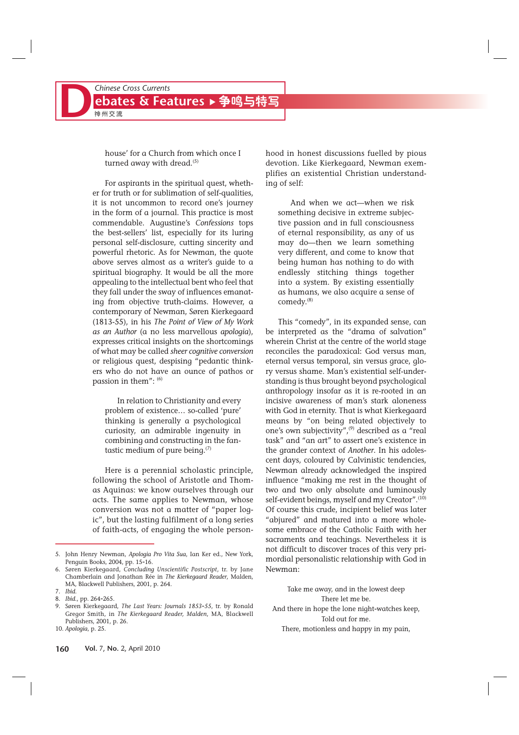house' for a Church from which once I turned away with dread. $(5)$ 

For aspirants in the spiritual quest, whether for truth or for sublimation of self-qualities, it is not uncommon to record one's journey in the form of a journal. This practice is most commendable. Augustine's *Confessions* tops the best-sellers' list, especially for its luring personal self-disclosure, cutting sincerity and powerful rhetoric. As for Newman, the quote above serves almost as a writer's guide to a spiritual biography. It would be all the more appealing to the intellectual bent who feel that they fall under the sway of influences emanating from objective truth-claims. However, a contemporary of Newman, Søren Kierkegaard (1813-55), in his *The Point of View of My Work as an Author* (a no less marvellous *apologia*), expresses critical insights on the shortcomings of what may be called *sheer cognitive conversion* or religious quest, despising "pedantic thinkers who do not have an ounce of pathos or passion in them":  $(6)$ 

In relation to Christianity and every problem of existence… so-called 'pure' thinking is generally a psychological curiosity, an admirable ingenuity in combining and constructing in the fantastic medium of pure being. $(7)$ 

Here is a perennial scholastic principle, following the school of Aristotle and Thomas Aquinas: we know ourselves through our acts. The same applies to Newman, whose conversion was not a matter of "paper logic", but the lasting fulfilment of a long series of faith-acts, of engaging the whole personhood in honest discussions fuelled by pious devotion. Like Kierkegaard, Newman exemplifies an existential Christian understanding of self:

And when we act—when we risk something decisive in extreme subjective passion and in full consciousness of eternal responsibility, as any of us may do—then we learn something very different, and come to know that being human has nothing to do with endlessly stitching things together into a system. By existing essentially as humans, we also acquire a sense of comedy.(8)

This "comedy", in its expanded sense, can be interpreted as the "drama of salvation" wherein Christ at the centre of the world stage reconciles the paradoxical: God versus man, eternal versus temporal, sin versus grace, glory versus shame. Man's existential self-understanding is thus brought beyond psychological anthropology insofar as it is re-rooted in an incisive awareness of man's stark aloneness with God in eternity. That is what Kierkegaard means by "on being related objectively to one's own subjectivity",<sup>(9)</sup> described as a "real task" and "an art" to assert one's existence in the grander context of *Another*. In his adolescent days, coloured by Calvinistic tendencies, Newman already acknowledged the inspired influence "making me rest in the thought of two and two only absolute and luminously self-evident beings, myself and my Creator".<sup>(10)</sup> Of course this crude, incipient belief was later "abjured" and matured into a more wholesome embrace of the Catholic Faith with her sacraments and teachings. Nevertheless it is not difficult to discover traces of this very primordial personalistic relationship with God in Newman:

Take me away, and in the lowest deep There let me be. And there in hope the lone night-watches keep, Told out for me. There, motionless and happy in my pain,

<sup>5.</sup> John Henry Newman, *Apologia Pro Vita Sua*, Ian Ker ed., New York, Penguin Books, 2004, pp. 15-16.

<sup>6.</sup> Søren Kierkegaard, *Concluding Unscientific Postscript*, tr. by Jane Chamberlain and Jonathan Rée in *The Kierkegaard Reader*, Malden, MA, Blackwell Publishers, 2001, p. 264.

<sup>7.</sup> *Ibid*.

<sup>8.</sup> *Ibid*., pp. 264-265.

<sup>9.</sup> Søren Kierkegaard, *The Last Years: Journals 1853*-*55*, tr. by Ronald Gregor Smith, in *The Kierkegaard Reader, Malden*, MA, Blackwell Publishers, 2001, p. 26.

<sup>10.</sup> *Apologia*, p. 25.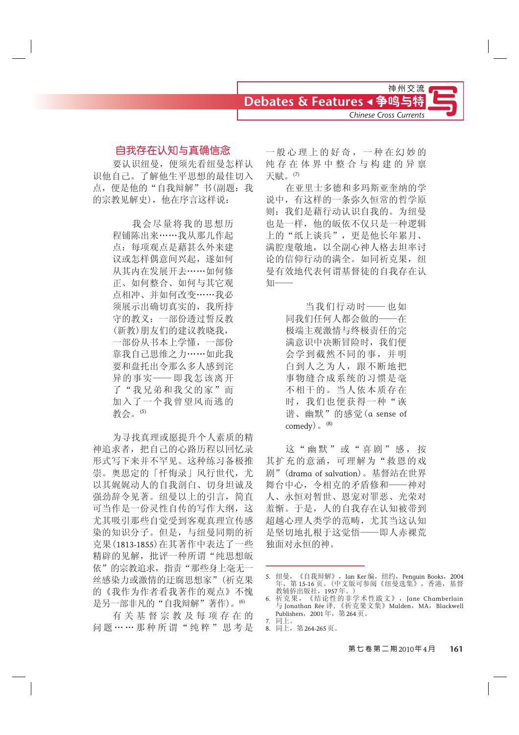

### 自我存在认知与真确信念

要认识纽曼, 便须先看纽曼怎样认 识他自己。了解他生平思想的最佳切入 点, 便是他的"自我辩解"书(副题: 我 的宗教见解史), 他在序言这样说:

> 我会尽量将我的思想历 程铺陈出来……我从那儿作起 点: 每项观点是藉其么外来建 议或怎样偶意间兴起,遂如何 从其内在发展开去 …… 如何修 正、如何整合、如何与其它观 点相冲、并如何改变……我必 须展示出确切真实的,我所持 守的教义: 一部份透过誓反教 (新教)朋友们的建议教晓我, 一部份从书本上学懂, 一部份 靠我自己思维之力……如此我 要和盘托出令那么多人感到诧 异的事实 - 即我怎该离开 了"我兄弟和我父的家"而 加入了一个我曾望风而逃的 教会。(5)

为寻找真理或愿提升个人素质的精 神追求者, 把自己的心路历程以回忆录 形式写下来并不罕见。这种练习备极推 崇。奥思定的「忏悔录」风行世代,尤 以其娓娓动人的自我剖白、切身坦诚及 强劲辞令见著。纽曼以上的引言,简直 可当作是一份灵性自传的写作大纲,这 尤其吸引那些自觉受到客观真理宣传感 染的知识分子。但是,与纽曼同期的祈 克果 (1813-1855) 在其著作中表达了一些 精辟的见解, 批评一种所谓"纯思想皈 依"的宗教追求, 指责"那些身上毫无一 丝感染力或激情的迂腐思想家"(祈克果 的《我作为作者看我著作的观点》不愧 是另一部非凡的"自我辩解"著作)。<sup>6)</sup>

有关基督宗教及每项存在的 问题……那种所谓"纯粹"思考是 一般心理上的好奇,一种在幻妙的 纯存在体界中整合与构建的异禀 天赋。(7)

在亚里十多德和多玛斯亚奎纳的学 说中, 有这样的一条弥久恒常的哲学原 则: 我们是藉行动认识自我的。为纽曼 也是一样,他的皈依不仅只是一种逻辑 上的"纸上谈兵",更是他长年累月、 满腔虔敬地, 以全副心神人格夫坦率讨 论的信仰行动的满全。如同祈克果, 纽 曼有效地代表何谓基督徒的自我存在认 知

> 当我们行动时 -- 也如 同我们任何人都会做的——在 极端主观激情与终极责任的完 满意识中决断冒险时, 我们便 会学到截然不同的事,并明 白到人之为人, 跟不断地把 事物缝合成系统的习惯是毫 不相干的。当人依本质存在 时, 我们也便获得一种"诙 谐、幽默"的感觉 (a sense of comedy) $\,^{\circ}$  (8)

这"幽默"或"喜剧"感,按 其扩充的意涵,可理解为"救恩的戏 剧" (drama of salvation)。基督站在世界 舞台中心, 今相克的矛盾修和——神对 人、永恒对暂世、恩宠对罪恶、光荣对 羞惭。于是, 人的自我存在认知被带到 超越心理人类学的范畴, 尤其当这认知 是坚切地扎根于这觉悟——即人赤裸荒 独面对永恒的神。

<sup>5.</sup> 纽曼, 《自我辩解》, Ian Ker 编, 纽约, Penguin Books, 2004 年,第 15-16 页。(中文版可参阅《纽曼选集》,香港,基督 教辅侨出版社,1957年。)

<sup>6.</sup> 祈克果,《结论性的非学术性跋文》,Jane Chamberlain 与 Jonathan Rée 译, 《祈克果文集》Malden,MA,Blackwell Publishers,2001年,第264页。 7. 同上。

<sup>8.</sup> 同上, 第264-265页。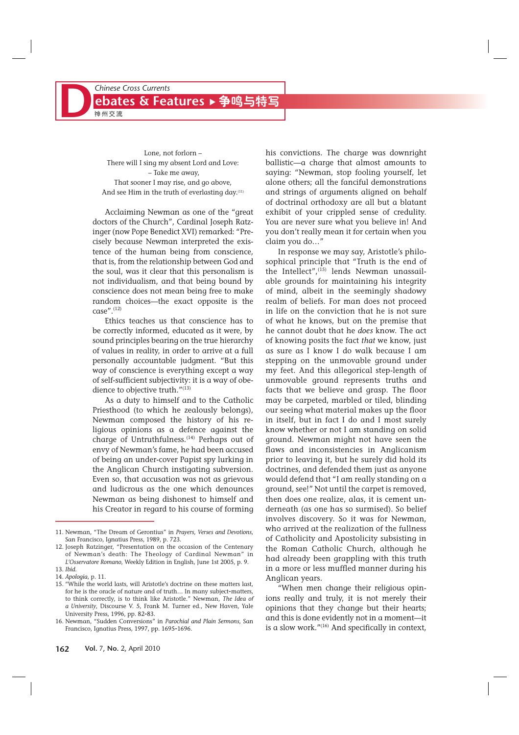Lone, not forlorn – There will I sing my absent Lord and Love: – Take me away, That sooner I may rise, and go above, And see Him in the truth of everlasting day.<sup>(11)</sup>

Acclaiming Newman as one of the "great doctors of the Church", Cardinal Joseph Ratzinger (now Pope Benedict XVI) remarked: "Precisely because Newman interpreted the existence of the human being from conscience, that is, from the relationship between God and the soul, was it clear that this personalism is not individualism, and that being bound by conscience does not mean being free to make random choices—the exact opposite is the  $case''$ .  $(12)$ 

Ethics teaches us that conscience has to be correctly informed, educated as it were, by sound principles bearing on the true hierarchy of values in reality, in order to arrive at a full personally accountable judgment. "But this way of conscience is everything except a way of self-sufficient subjectivity: it is a way of obedience to objective truth."<sup>(13)</sup>

As a duty to himself and to the Catholic Priesthood (to which he zealously belongs), Newman composed the history of his religious opinions as a defence against the charge of Untruthfulness.<sup>(14)</sup> Perhaps out of envy of Newman's fame, he had been accused of being an under-cover Papist spy lurking in the Anglican Church instigating subversion. Even so, that accusation was not as grievous and ludicrous as the one which denounces Newman as being dishonest to himself and his Creator in regard to his course of forming

his convictions. The charge was downright ballistic—a charge that almost amounts to saying: "Newman, stop fooling yourself, let alone others; all the fanciful demonstrations and strings of arguments aligned on behalf of doctrinal orthodoxy are all but a blatant exhibit of your crippled sense of credulity. You are never sure what you believe in! And you don't really mean it for certain when you claim you do…"

In response we may say, Aristotle's philosophical principle that "Truth is the end of the Intellect", $^{(15)}$  lends Newman unassailable grounds for maintaining his integrity of mind, albeit in the seemingly shadowy realm of beliefs. For man does not proceed in life on the conviction that he is not sure of what he knows, but on the premise that he cannot doubt that he *does* know. The act of knowing posits the fact *that* we know, just as sure as I know I do walk because I am stepping on the unmovable ground under my feet. And this allegorical step-length of unmovable ground represents truths and facts that we believe and grasp. The floor may be carpeted, marbled or tiled, blinding our seeing what material makes up the floor in itself, but in fact I do and I most surely know whether or not I am standing on solid ground. Newman might not have seen the flaws and inconsistencies in Anglicanism prior to leaving it, but he surely did hold its doctrines, and defended them just as anyone would defend that "I am really standing on a ground, see!" Not until the carpet is removed, then does one realize, alas, it is cement underneath (as one has so surmised). So belief involves discovery. So it was for Newman, who arrived at the realization of the fullness of Catholicity and Apostolicity subsisting in the Roman Catholic Church, although he had already been grappling with this truth in a more or less muffled manner during his Anglican years.

"When men change their religious opinions really and truly, it is not merely their opinions that they change but their hearts; and this is done evidently not in a moment—it is a slow work." $(16)$  And specifically in context,

<sup>11.</sup> Newman, "The Dream of Gerontius" in *Prayers, Verses and Devotions*, San Francisco, Ignatius Press, 1989, p. 723.

<sup>12.</sup> Joseph Ratzinger, "Presentation on the occasion of the Centenary of Newman's death: The Theology of Cardinal Newman" in *L'Osservatore Romano*, Weekly Edition in English, June 1st 2005, p. 9. 13. *Ibid*.

<sup>14.</sup> *Apologia*, p. 11.

<sup>15. &</sup>quot;While the world lasts, will Aristotle's doctrine on these matters last, for he is the oracle of nature and of truth… In many subject-matters, to think correctly, is to think like Aristotle." Newman, *The Idea of a University*, Discourse V. 5, Frank M. Turner ed., New Haven, Yale University Press, 1996, pp. 82-83.

<sup>16.</sup> Newman, "Sudden Conversions" in *Parochial and Plain Sermons*, San Francisco, Ignatius Press, 1997, pp. 1695-1696.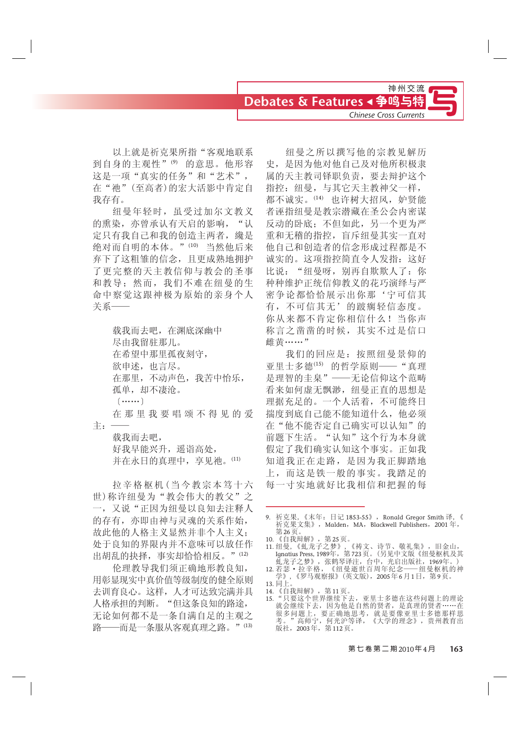以上就是祈克果所指"客观地联系 到自身的主观性"(9) 的意思。他形容 这是一项"真实的任务"和"艺术", 在"池"(至高者)的宏大活影中肯定自 我存有。

纽曼年轻时, 虽受过加尔文教义 的熏染,亦曾承认有天启的影响,"认 定只有我自己和我的创造主两者, 纔是 绝对而自明的本体。"(10) 当然他后来 弃下了这粗雏的信念,且更成熟地拥护 了更完整的天主教信仰与教会的圣事 和教导; 然而, 我们不难在纽曼的生 命中察觉这跟神极为原始的亲身个人 关系一

> 载我而夫吧, 在渊底深幽中 尽由我留驻那儿。 在希望中那里孤夜刻守, 欲申述, 也言尽。 在那里,不动声色,我苦中怡乐, 孤单, 却不凄沧。  $\left($  ...... 在 那 里 我 要 唱 颂 不 得 见 的 爱

载我而去吧, 好我早能兴升,遥诣高处, 并在永日的真理中, 享见祂。(11)

Џ˖ü

拉辛格板机 (当今教宗本笃十六 世) 称许纽曼为"教会伟大的教父"之 一, 又说"正因为纽曼以良知去注释人 的存有,亦即由神与灵魂的关系作始, 故此他的人格主义显然并非个人主义; 处于良知的界限内并不意味可以放任作 出胡乱的抉择,事实却恰恰相反。"(12)

伦理教导我们须正确地形教良知, 用彰显现实中真价值等级制度的健全原则 去训育良心。这样, 人才可达致完满并具 人格承担的判断。"但这条良知的路途, 无论如何都不是一条自满自足的主观之 路——而是一条服从客观真理之路。"(13)

纽曼之所以撰写他的宗教见解历 史, 是因为他对他自己及对他所积极隶 属的天主教司铎职负责, 要去辩护这个 指控: 纽曼, 与其它天主教神父一样, 都不诚实。(14) 也许树大招风, 妒贤能 者诬指纽曼是教宗潜藏在圣公会内密谋 反动的卧底;不但如此,另一个更为严 重和无稽的指控, 盲斥纽曼其实一直对 他自己和创造者的信念形成过程都是不 诚实的。这项指控简直令人发指: 这好 比说: "纽曼呀, 别再自欺欺人了: 你 种种维护正统信仰教义的花巧演绎与严 密争论都恰恰展示出你那'宁可信其 有,不可信其无'的跛瘸轻信态度。 你从来都不肯定你相信什么! 当你声 称言之凿凿的时候, 其实不过是信口 雌黄……"

我们的回应是: 按照纽曼景仰的 亚里士多德(15) 的哲学原则——"真理 是理智的圭臬" ——无论信仰这个范畴 看来如何虚无飘渺, 纽曼正直的思想是 理据充足的。一个人活着,不可能终日 揣度到底自己能不能知道什么,他必须 在"他不能否定自己确实可以认知"的 前题下生活。"认知"这个行为本身就 假定了我们确实认知这个事实。正如我 知道我正在走路, 是因为我正脚踏地 上,而这是铁一般的事实。我踏足的 每一寸实地就好比我相信和把握的每

9. 祈克果, 《末年: 日记 1853-55》, Ronald Gregor Smith 译, 《 祈克果文集》, Malden, MA, Blackwell Publishers, 2001年, 第26页。

- 11. 纽曼, 《虬龙子之梦》, 《祷文、诗节、敬礼集》,旧金山, Ignatius Press, 1989年,第723页。(另见中文版《纽曼枢机及其
- 虬龙子之梦》,张鹤琴译注,台中,光启出版社,1969年。)<br>12. 若瑟・拉辛格,《纽曼逝世百周年纪念──纽曼枢机的神<br> 学》, 《罗马观察报》(英文版),2005年6月1日,第9页。 13. 同上
- 
- 13. <sub>17.1</sub>。<br>14. 《自我辩解》,第11页。<br>15. "只要这个世界继续下去,亚里士多德在这些问题上的理论 15. "只要这个世界继续下去,亚里士多德在这些问题上的理论 就会继续下去,因为他是自然的贤者,是真理的贤者……在 很多问题上,要正确地思考,就是要像亚里士多德那样思 考。" 高师宁,何光沪等译,《大学的理念》,贵州教育出 版社,2003年,第112页。

<sup>10. 《</sup>自我辩解》,第25页。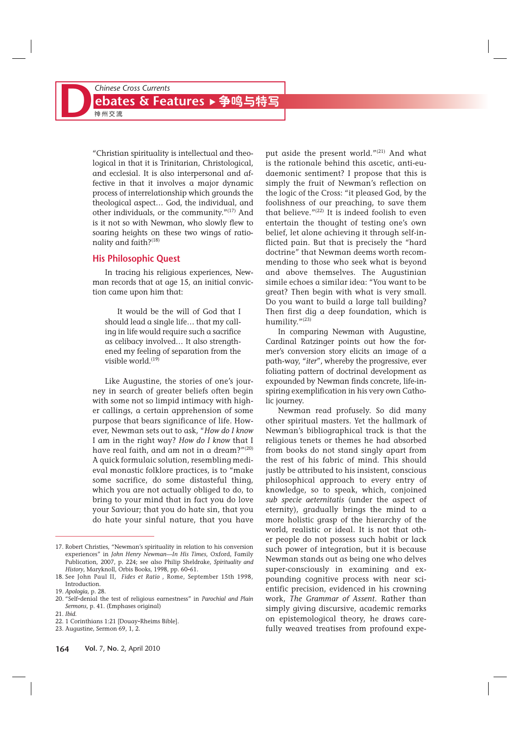"Christian spirituality is intellectual and theological in that it is Trinitarian, Christological, and ecclesial. It is also interpersonal and affective in that it involves a major dynamic process of interrelationship which grounds the theological aspect… God, the individual, and other individuals, or the community."(17) And is it not so with Newman, who slowly flew to soaring heights on these two wings of rationality and faith?(18)

#### **His Philosophic Quest**

In tracing his religious experiences, Newman records that at age 15, an initial conviction came upon him that:

It would be the will of God that I should lead a single life… that my calling in life would require such a sacrifice as celibacy involved… It also strengthened my feeling of separation from the visible world. $(19)$ 

Like Augustine, the stories of one's journey in search of greater beliefs often begin with some not so limpid intimacy with higher callings, a certain apprehension of some purpose that bears significance of life. However, Newman sets out to ask, "*How do I know* I am in the right way? *How do I know* that I have real faith, and am not in a dream?"(20) A quick formulaic solution, resembling medieval monastic folklore practices, is to "make some sacrifice, do some distasteful thing, which you are not actually obliged to do, to bring to your mind that in fact you do love your Saviour; that you do hate sin, that you do hate your sinful nature, that you have put aside the present world." $(21)$  And what is the rationale behind this ascetic, anti-eudaemonic sentiment? I propose that this is simply the fruit of Newman's reflection on the logic of the Cross: "it pleased God, by the foolishness of our preaching, to save them that believe." $(22)$  It is indeed foolish to even entertain the thought of testing one's own belief, let alone achieving it through self-inflicted pain. But that is precisely the "hard doctrine" that Newman deems worth recommending to those who seek what is beyond and above themselves. The Augustinian simile echoes a similar idea: "You want to be great? Then begin with what is very small. Do you want to build a large tall building? Then first dig a deep foundation, which is humility."(23)

In comparing Newman with Augustine, Cardinal Ratzinger points out how the former's conversion story elicits an image of a path-way, "*iter*", whereby the progressive, ever foliating pattern of doctrinal development as expounded by Newman finds concrete, life-inspiring exemplification in his very own Catholic journey.

Newman read profusely. So did many other spiritual masters. Yet the hallmark of Newman's bibliographical track is that the religious tenets or themes he had absorbed from books do not stand singly apart from the rest of his fabric of mind. This should justly be attributed to his insistent, conscious philosophical approach to every entry of knowledge, so to speak, which, conjoined *sub specie aeternitatis* (under the aspect of eternity), gradually brings the mind to a more holistic grasp of the hierarchy of the world, realistic or ideal. It is not that other people do not possess such habit or lack such power of integration, but it is because Newman stands out as being one who delves super-consciously in examining and expounding cognitive process with near scientific precision, evidenced in his crowning work, *The Grammar of Assent*. Rather than simply giving discursive, academic remarks on epistemological theory, he draws carefully weaved treatises from profound expe-

<sup>17.</sup> Robert Christies, "Newman's spirituality in relation to his conversion experiences" in *John Henry Newman—In His Times*, Oxford, Family Publication, 2007, p. 224; see also Philip Sheldrake, *Spirituality and History*, Maryknoll, Orbis Books, 1998, pp. 60-61.

<sup>18.</sup> See John Paul II, *Fides et Ratio* , Rome, September 15th 1998, Introduction.

<sup>19.</sup> *Apologia*, p. 28.

<sup>20. &</sup>quot;Self-denial the test of religious earnestness" in *Parochial and Plain Sermons*, p. 41. (Emphases original)

<sup>21.</sup> *Ibid*.

<sup>22. 1</sup> Corinthians 1:21 [Douay-Rheims Bible].

<sup>23.</sup> Augustine, Sermon 69, 1, 2.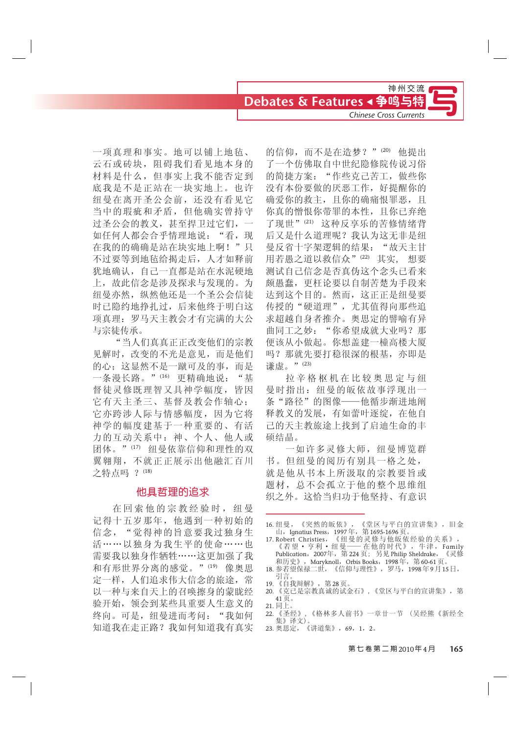一项真理和事实。地可以铺上地毡、 云石或砖块, 阻碍我们看见地本身的 材料是什么,但事实上我不能否定到 底我是不是正站在一块实地上。也许 纽曼在离开圣公会前,还没有看见它 当中的瑕疵和矛盾,但他确实曾持守 过圣公会的教义,甚至捍卫过它们, 如任何人都会合乎情理地说: "看, 现 在我的的确确是站在块实地上啊!"只 不过要等到地毡给揭走后, 人才如释前 犹地确认,自己一直都是站在水泥硬地 上,故此信念是涉及探求与发现的。为 纽曼亦然, 纵然他还是一个圣公会信徒 时已隐约地挣扎过,后来他终于明白这 项真理: 罗马天主教会才有完满的大公 与宗徒传承。

"当人们真真正正改变他们的宗教 见解时, 改变的不光是意见, 而是他们 的心; 这显然不是一蹴可及的事, 而是 一条漫长路。"(16) 更精确地说: "基 督徒灵修既理智又具神学幅度,皆因 它有天主圣三、基督及教会作轴心; 它亦跨涉人际与情感幅度, 因为它将 神学的幅度建基于一种重要的、有活 力的互动关系中: 神、个人、他人或 团体。"(17) 纽曼依靠信仰和理性的双 翼翱翔, 不就正正展示出他融汇百川 之特点吗 ? (18)

### 他具哲理的追求

在回索他的宗教经验时, 纽曼 记得十五岁那年,他遇到一种初始的 信念, "觉得神的旨意要我过独身生 活……以独身为我生平的使命……也 需要我以独身作牺牲······这更加强了我 和有形世界分离的感觉。"(19) 像奧思 定一样,人们追求伟大信念的旅途,常 以一种与来自天上的召唤擦身的蒙眬经 验开始, 领会到某些具重要人生意义的 终向。可是, 纽曼进而考问: "我如何 知道我在走正路?我如何知道我有真实

的信仰,而不是在造梦?"(20) 他提出 了一个仿佛取自中世纪隐修院传说习俗 的简捷方案: "作些克己苦工, 做些你 没有本份要做的厌恶工作, 好提醒你的 确爱你的救主,且你的确痛恨罪恶,且 你真的憎恨你带罪的本性, 且你已弃绝 了现世"(21) 这种反享乐的苦修情绪背 后又是什么道理呢?我认为这无非是纽 曼反省十字架逻辑的结果: "故天主甘 用若愚之道以救信众"<sup>(22)</sup> 其实, 想要 测试自己信念是否真伪这个念头已看来 颇愚蠢,更枉论要以自制苦楚为手段来 达到这个目的。然而,这正正是纽曼要 传授的"硬道理", 尤其值得向那些追 求超越自身者推介。奥思定的譬喻有异 曲同工之妙: "你希望成就大业吗? 那 便该从小做起。你想盖建一橦高楼大厦 吗? 那就先要打稳很深的根基, 亦即是 谦虚。"(23)

拉辛格枢机在比较奥思定与纽 曼时指出: 纽曼的皈依故事浮现出一 条"路径"的图像——他循步渐进地阐 释教义的发展,有如蕾叶逐绽,在他自 己的天主教旅途上找到了启迪生命的丰 硕结晶。

一如许多灵修大师, 纽曼博览群 书。但纽曼的阅历有别具一格之处, 就是他从书本上所汲取的宗教要旨或 题材, 总不会孤立于他的整个思维组 织之外。这恰当归功于他坚持、有意识

- 16. 纽曼, 《突然的皈依》, 《堂区与平白的宣讲集》, 旧金 山, Ignatius Press,  $1997$ 年, 第1695-1696页。
- 17. Robert Christies,《纽曼的灵修与他皈依经验的关系》,<br>《若望·亨利·纽曼——在他的时代》,牛津,Family<br>Publication,2007年,第224页;另见 Philip Sheldrake,《灵修 和历史》, Maryknoll, Orbis Books, 1998年, 第60-61页。
- 18. 参若望保禄二世, 《信仰与理性》, 罗马, 1998年9月15日, 引言。
- 19. 《自我辩解》,第28页。
- 20. 《克己是宗教真诚的试金石》,《堂区与平白的宣讲集》,第  $41\overline{11}$ 21. 同上
- 22. 《圣经》,《格林多人前书》一章廿一节 (吴经熊《新经全 集》译文)。
- 23. 奥思定, 《讲道集》, 69, 1, 2。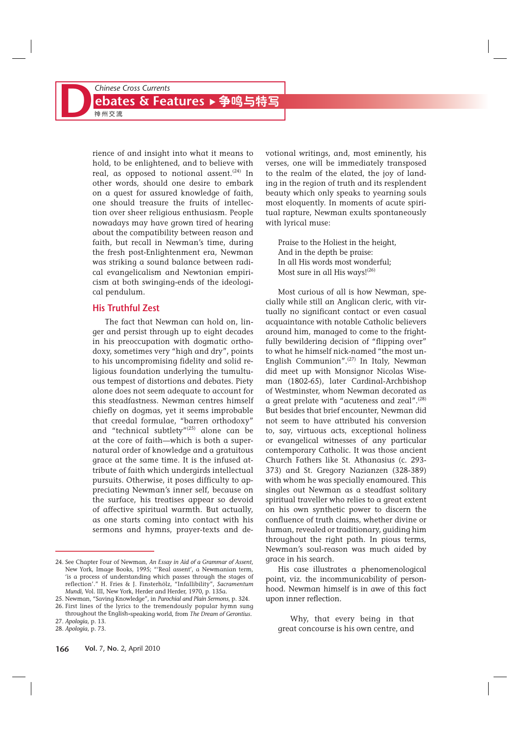rience of and insight into what it means to hold, to be enlightened, and to believe with real, as opposed to notional assent.<sup>(24)</sup> In other words, should one desire to embark on a quest for assured knowledge of faith, one should treasure the fruits of intellection over sheer religious enthusiasm. People nowadays may have grown tired of hearing about the compatibility between reason and faith, but recall in Newman's time, during the fresh post-Enlightenment era, Newman was striking a sound balance between radical evangelicalism and Newtonian empiricism at both swinging-ends of the ideological pendulum.

#### **His Truthful Zest**

The fact that Newman can hold on, linger and persist through up to eight decades in his preoccupation with dogmatic orthodoxy, sometimes very "high and dry", points to his uncompromising fidelity and solid religious foundation underlying the tumultuous tempest of distortions and debates. Piety alone does not seem adequate to account for this steadfastness. Newman centres himself chiefly on dogmas, yet it seems improbable that creedal formulae, "barren orthodoxy" and "technical subtlety"(25) alone can be at the core of faith—which is both a supernatural order of knowledge and a gratuitous grace at the same time. It is the infused attribute of faith which undergirds intellectual pursuits. Otherwise, it poses difficulty to appreciating Newman's inner self, because on the surface, his treatises appear so devoid of affective spiritual warmth. But actually, as one starts coming into contact with his sermons and hymns, prayer-texts and de-

25. Newman, "Saving Knowledge", in *Parochial and Plain Sermons*, p. 324.

votional writings, and, most eminently, his verses, one will be immediately transposed to the realm of the elated, the joy of landing in the region of truth and its resplendent beauty which only speaks to yearning souls most eloquently. In moments of acute spiritual rapture, Newman exults spontaneously with lyrical muse:

Praise to the Holiest in the height, And in the depth be praise: In all His words most wonderful; Most sure in all His ways!<sup>(26)</sup>

Most curious of all is how Newman, specially while still an Anglican cleric, with virtually no significant contact or even casual acquaintance with notable Catholic believers around him, managed to come to the frightfully bewildering decision of "flipping over" to what he himself nick-named "the most un-English Communion".(27) In Italy, Newman did meet up with Monsignor Nicolas Wiseman (1802-65), later Cardinal-Archbishop of Westminster, whom Newman decorated as a great prelate with "acuteness and zeal".(28) But besides that brief encounter, Newman did not seem to have attributed his conversion to, say, virtuous acts, exceptional holiness or evangelical witnesses of any particular contemporary Catholic. It was those ancient Church Fathers like St. Athanasius (c. 293- 373) and St. Gregory Nazianzen (328-389) with whom he was specially enamoured. This singles out Newman as a steadfast solitary spiritual traveller who relies to a great extent on his own synthetic power to discern the confluence of truth claims, whether divine or human, revealed or traditionary, guiding him throughout the right path. In pious terms, Newman's soul-reason was much aided by grace in his search.

His case illustrates a phenomenological point, viz. the incommunicability of personhood. Newman himself is in awe of this fact upon inner reflection.

Why, that every being in that great concourse is his own centre, and

<sup>24.</sup> See Chapter Four of Newman, *An Essay in Aid of a Grammar of Assent*, New York, Image Books, 1995; "'Real assent', a Newmanian term, 'is a process of understanding which passes through the stages of reflection'." H. Fries & J. Finsterhölz, "Infallibility", *Sacramentum Mundi*, Vol. III, New York, Herder and Herder, 1970, p. 135a.

<sup>26.</sup> First lines of the lyrics to the tremendously popular hymn sung throughout the English-speaking world, from *The Dream of Gerontius*.

<sup>27.</sup> *Apologia*, p. 13. 28. *Apologia*, p. 73.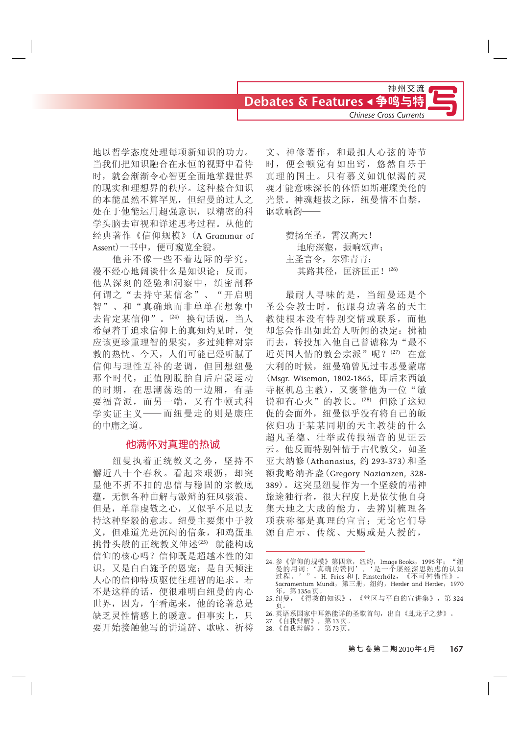地以哲学态度处理每项新知识的功力。 当我们把知识融合在永恒的视野中看待 时, 就会渐渐令心智更全面地掌握世界 的现实和理想界的秩序。这种整合知识 的本能虽然不算罕见,但纽曼的过人之 处在于他能运用超强意识, 以精密的科 学头脑去审视和详述思考过程。从他的 经典著作《信仰规模》(A Grammar of Assent) 一书中, 便可窥览全貌。

他并不像一些不着边际的学究, 漫不经心地阔谈什么是知识论;反而, 他从深刻的经验和洞察中, 缜密剖释 何谓之"去持守某信念"、"开启明 智"、和"真确地而非单单在想象中 去肯定某信仰"。(24) 换句话说, 当人 希望着手追求信仰上的真知灼见时, 便 应该更珍重理智的果实,多过纯粹对宗 教的热忱。今天, 人们可能已经听腻了 信仰与理性互补的老调,但回想纽曼 那个时代,正值刚脱胎自后启蒙运动 的时期, 在思潮荡迭的一边厢, 有基 要福音派, 而另一端, 又有牛顿式科 学实证主义——而纽曼走的则是康庄 的中庸之道。

#### 他满怀对直理的热诚

纽曼执着正统教义之务, 坚持不 懈近八十个春秋。看起来艰沥, 却突 显他不折不扣的忠信与稳固的宗教底 蕴,无惧各种曲解与激辩的狂风骇浪。 但是, 单靠虔敬之心, 又似乎不足以支 持这种坚毅的意志。纽曼主要集中于教 义,但难道光是沉闷的信条,和鸡蛋里 挑骨头般的正统教义伸述(25) 就能构成 信仰的核心吗?信仰既是超越本性的知 识, 又是白白施予的恩宠; 是自天倾注 人心的信仰特质驱使往理智的追求。若 不是这样的话, 便很难明白纽曼的内心 世界, 因为, 乍看起来, 他的论著总是 缺乏灵性情感上的暖意。但事实上,只 要开始接触他写的讲道辞、歌咏、祈祷

文、神修著作,和最扣人心弦的诗节 时, 便会顿觉有如出窍, 悠然自乐于 真理的国土。只有慕义如饥似渴的灵 魂才能意味深长的体悟如斯璀璨美伦的 光景。神魂超拔之际,纽曼情不自禁, 讴歌响韵-

> 赞扬至圣, 雷汉高天! 地府深壑, 振响颂声: 主圣言令, 尔雅青青: 其路其径, 匡济匡正! (26)

最耐人寻味的是, 当纽曼还是个 圣公会教士时,他跟身边著名的天主 教徒根本没有特别交情或联系,而他 却怎会作出如此耸人听闻的决定: 拂袖 而去, 转投加入他自己曾谑称为"最不 近英国人情的教会宗派"呢?(27) 在意 大利的时候, 纽曼确曾见过韦思曼蒙席 (Msqr. Wiseman, 1802-1865, 即后来西敏 寺枢机总主教), 又褒誉他为一位"敏 锐和有心火"的教长。(28) 但除了这短 促的会面外, 纽曼似乎没有将自己的皈 依归功于某某同期的天主教徒的什么 超凡圣德、壮举或传报福音的见证云 云。他反而特别钟情于古代教父, 如圣 亚大纳修 (Athanasius, 约 293-373) 和圣 额我略纳齐盎(Gregory Nazianzen, 328-389)。这突显纽曼作为一个坚毅的精神 旅途独行者,很大程度上是依仗他自身 集天地之大成的能力,去辨别梳理各 项获称都是真理的宣言; 无论它们导 源自启示、传统、天赐或是人授的,

<sup>24.</sup> 参《信仰的规模》第四章,纽约,Image Books,1995年;"纽 曼的用词:'真确的赞同','是一个屡经深思熟虑的认知 过程。'",H. Fries 和 J. Finsterhölz,《不可舛错性》, Sacramentum Mundi, 第三册, 纽约, Herder and Herder, 1970 年,第135a页

<sup>25.</sup> 纽曼, 《得救的知识》, 《堂区与平白的宣讲集》, 第324<br>页。 页。

<sup>26.</sup> 英语系国家中耳熟能详的圣歌首句,出自《虬龙子之梦》。

<sup>27. 《</sup>自我辩解》,第13页。

<sup>28. 《</sup>自我辩解》,第73页。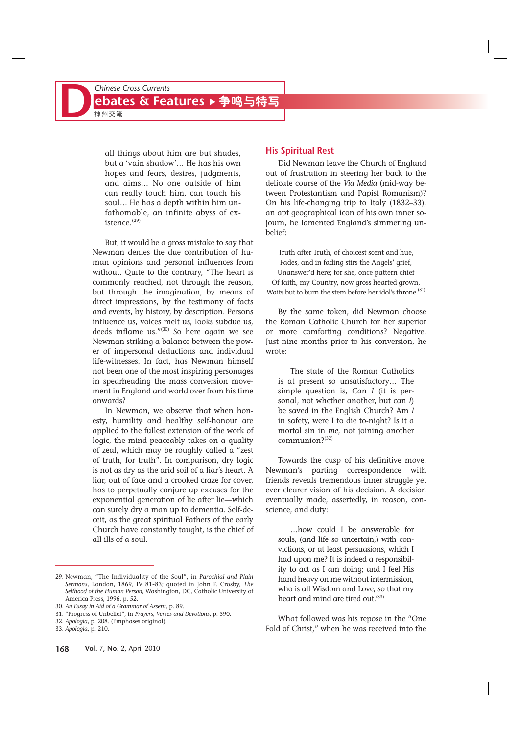all things about him are but shades, but a 'vain shadow'… He has his own hopes and fears, desires, judgments, and aims… No one outside of him can really touch him, can touch his soul… He has a depth within him unfathomable, an infinite abyss of existence.<sup>(29)</sup>

But, it would be a gross mistake to say that Newman denies the due contribution of human opinions and personal influences from without. Quite to the contrary, "The heart is commonly reached, not through the reason, but through the imagination, by means of direct impressions, by the testimony of facts and events, by history, by description. Persons influence us, voices melt us, looks subdue us, deeds inflame us."(30) So here again we see Newman striking a balance between the power of impersonal deductions and individual life-witnesses. In fact, has Newman himself not been one of the most inspiring personages in spearheading the mass conversion movement in England and world over from his time onwards?

In Newman, we observe that when honesty, humility and healthy self-honour are applied to the fullest extension of the work of logic, the mind peaceably takes on a quality of zeal, which may be roughly called a "zest of truth, for truth". In comparison, dry logic is not as dry as the arid soil of a liar's heart. A liar, out of face and a crooked craze for cover, has to perpetually conjure up excuses for the exponential generation of lie after lie—which can surely dry a man up to dementia. Self-deceit, as the great spiritual Fathers of the early Church have constantly taught, is the chief of all ills of a soul.

### **His Spiritual Rest**

Did Newman leave the Church of England out of frustration in steering her back to the delicate course of the *Via Media* (mid-way between Protestantism and Papist Romanism)? On his life-changing trip to Italy (1832–33), an apt geographical icon of his own inner sojourn, he lamented England's simmering unbelief:

Truth after Truth, of choicest scent and hue, Fades, and in fading stirs the Angels' grief, Unanswer'd here; for she, once pattern chief Of faith, my Country, now gross hearted grown, Waits but to burn the stem before her idol's throne.<sup>(31)</sup>

By the same token, did Newman choose the Roman Catholic Church for her superior or more comforting conditions? Negative. Just nine months prior to his conversion, he wrote:

The state of the Roman Catholics is at present so unsatisfactory… The simple question is, Can *I* (it is personal, not whether another, but can *I*) be saved in the English Church? Am *I* in safety, were I to die to-night? Is it a mortal sin in *me*, not joining another communion?(32)

Towards the cusp of his definitive move, Newman's parting correspondence with friends reveals tremendous inner struggle yet ever clearer vision of his decision. A decision eventually made, assertedly, in reason, conscience, and duty:

…how could I be answerable for souls, (and life so uncertain,) with convictions, or at least persuasions, which I had upon me? It is indeed a responsibility to act as I am doing; and I feel His hand heavy on me without intermission, who is all Wisdom and Love, so that my heart and mind are tired out.<sup>(33)</sup>

What followed was his repose in the "One Fold of Christ," when he was received into the

<sup>29.</sup> Newman, "The Individuality of the Soul", in *Parochial and Plain Sermons*, London, 1869, IV 81-83; quoted in John F. Crosby, *The Selfhood of the Human Person*, Washington, DC, Catholic University of America Press, 1996, p. 52.

<sup>30.</sup> *An Essay in Aid of a Grammar of Assent*, p. 89.

<sup>31. &</sup>quot;Progress of Unbelief", in *Prayers, Verses and Devotions*, p. 590.

<sup>32.</sup> *Apologia*, p. 208. (Emphases original).

<sup>33.</sup> *Apologia*, p. 210.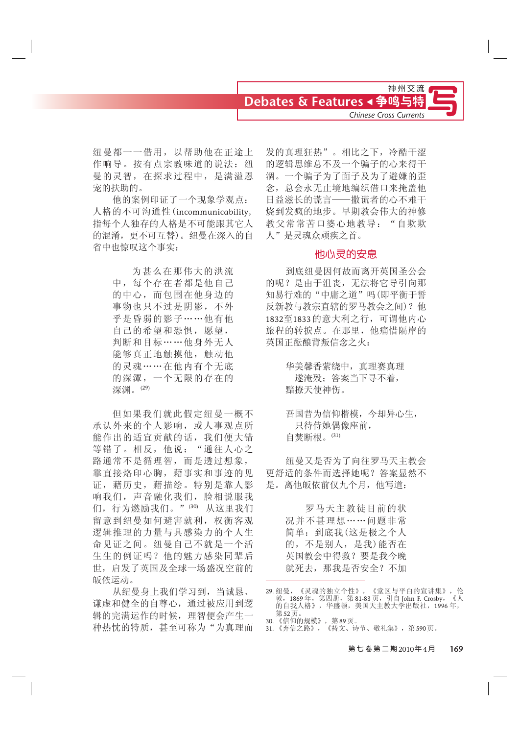纽曼都一一借用,以帮助他在正途上 作响导。按有点宗教味道的说法: 纽 曼的灵智, 在探求过程中, 是满溢恩 宠的扶助的。

他的案例印证了一个现象学观点: 人格的不可沟通性 (incommunicability, 指每个人独存的人格是不可能跟其它人 的混淆, 更不可互替)。纽曼在深入的自 省中也惊叹这个事实:

> 为甚么在那伟大的洪流 中,每个存在者都是他自己 的中心,而包围在他身边的 事物也只不过是阴影,不外 平是昏弱的影子……他有他 自己的希望和恐惧,愿望, 判断和目标……他身外无人 能够真正地触摸他, 触动他 的灵魂……在他内有个无底 的深潭,一个无限的存在的 深渊。(29)

但如果我们就此假定纽曼一概不 承认外来的个人影响, 或人事观点所 能作出的适宜贡献的话, 我们便大错 等错了。相反,他说:"通往人心之 路通常不是循理智,而是透过想象, 靠直接烙印心胸,藉事实和事迹的见 证, 藉历史, 藉描绘。特别是靠人影 响我们, 声音融化我们, 脸相说服我 们, 行为燃励我们。"(30) 从这里我们 留意到纽曼如何避害就利, 权衡客观 逻辑推理的力量与具感染力的个人生 命见证之间。纽曼自己不就是一个活 生生的例证吗?他的魅力感染同辈后 世, 启发了英国及全球一场盛况空前的 皈依运动。

从纽曼身上我们学习到,当诚恳、 谦虚和健全的自尊心, 通过被应用到逻 辑的完满运作的时候,理智便会产生一 种热忱的特质, 甚至可称为"为真理而

发的真理狂热"。相比之下,冷酷干涩 的逻辑思维总不及一个骗子的心来得干 涸。一个骗子为了面子及为了避嫌的歪 念, 总会永无止境地编织借口来掩盖他 日益滋长的谎言——撒谎者的心不难干 烧到发疯的地步。早期教会伟大的神修 教父常常苦口婆心地教导: "自欺欺 人"是灵魂众顽疾之首。

#### 他心灵的安息

到底纽曼因何故而离开英国圣公会 的呢?是由于沮丧,无法将它导引向那 知易行难的"中庸之道"吗(即平衡于誓 反新教与教宗直辖的罗马教会之间)? 他 1832至1833 的意大利之行, 可谓他内心 旅程的转捩点。在那里, 他痛惜隔岸的 英国正酝酿背叛信念之火:

> 华美馨香萦绕中, 真理赛真理 遂淹殁;答案当下寻不着, 黯撩天使神伤。

吾国昔为信仰楷模,今却异心生, 只待侍她偶像座前, 白焚断根。 $(31)$ 

纽曼又是否为了向往罗马天主教会 更舒适的条件而选择她呢?答案显然不 是。离他皈依前仅九个月, 他写道:

> 罗马天主教徒目前的状 况并不甚理想……问题非常 简单: 到底我(这是极之个人 的,不是别人,是我)能否在 英国教会中得救?要是我今晚 就死去, 那我是否安全? 不加

<sup>29.</sup> 纽曼,《灵魂的独立个性》,《堂区与平白的宣讲集》,伦 敦,1869 年,第四册,第 81-83 页,引自 John F. Crosby,《人 的自我人格》,华盛顿,美国天主教大学出版社,1996 年, 第52页

<sup>30. 《</sup>信仰的规模》, 第89页。

<sup>31. 《</sup>弃信之路》, 《祷文、诗节、敬礼集》, 第590页。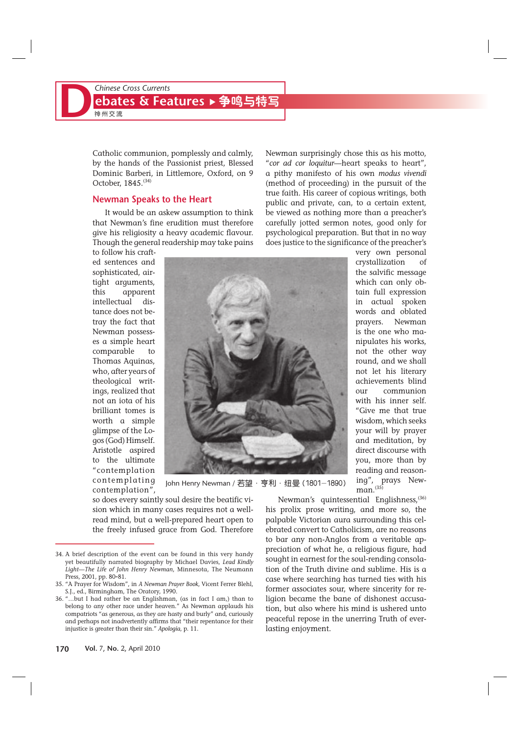Catholic communion, pomplessly and calmly, by the hands of the Passionist priest, Blessed Dominic Barberi, in Littlemore, Oxford, on 9 October, 1845.<sup>(34)</sup>

#### **Newman Speaks to the Heart**

It would be an askew assumption to think that Newman's fine erudition must therefore give his religiosity a heavy academic flavour. Though the general readership may take pains

to follow his crafted sentences and sophisticated, airtight arguments, this apparent intellectual distance does not betray the fact that Newman possesses a simple heart comparable to Thomas Aquinas, who, after years of theological writings, realized that not an iota of his brilliant tomes is worth a simple glimpse of the Logos (God) Himself. Aristotle aspired to the ultimate "contemplation contemplating contemplation",

Newman surprisingly chose this as his motto, "*cor ad cor loquitur—*heart speaks to heart", a pithy manifesto of his own *modus vivendi* (method of proceeding) in the pursuit of the true faith. His career of copious writings, both public and private, can, to a certain extent, be viewed as nothing more than a preacher's carefully jotted sermon notes, good only for psychological preparation. But that in no way does justice to the significance of the preacher's

> very own personal crystallization of the salvific message which can only obtain full expression in actual spoken words and oblated prayers. Newman is the one who manipulates his works, not the other way round, and we shall not let his literary achievements blind our communion with his inner self. "Give me that true wisdom, which seeks your will by prayer and meditation, by direct discourse with you, more than by reading and reasoning", prays New-



John Henry Newman / 若望 · 亨利 · 纽曼 (1801-1890)

so does every saintly soul desire the beatific vision which in many cases requires not a wellread mind, but a well-prepared heart open to the freely infused grace from God. Therefore

 $man.<sup>(35)</sup>$ Newman's quintessential Englishness, (36)

his prolix prose writing, and more so, the palpable Victorian aura surrounding this celebrated convert to Catholicism, are no reasons to bar any non-Anglos from a veritable appreciation of what he, a religious figure, had sought in earnest for the soul-rending consolation of the Truth divine and sublime. His is a case where searching has turned ties with his former associates sour, where sincerity for religion became the bane of dishonest accusation, but also where his mind is ushered unto peaceful repose in the unerring Truth of everlasting enjoyment.

**170 Vol.** 7, **No.** 2, April 2010

<sup>34.</sup> A brief description of the event can be found in this very handy yet beautifully narrated biography by Michael Davies, *Lead Kindly Light—The Life of John Henry Newman*, Minnesota, The Neumann Press, 2001, pp. 80-81.

<sup>35. &</sup>quot;A Prayer for Wisdom", in *A Newman Prayer Book*, Vicent Ferrer Blehl, S.J., ed., Birmingham, The Oratory, 1990.<br>36. "...but I had water"

<sup>36. &</sup>quot;…but I had rather be an Englishman, (as in fact I am,) than to belong to any other race under heaven." As Newman applauds his compatriots "as generous, as they are hasty and burly" and, curiously and perhaps not inadvertently affirms that "their repentance for their injustice is greater than their sin." *Apologia*, p. 11.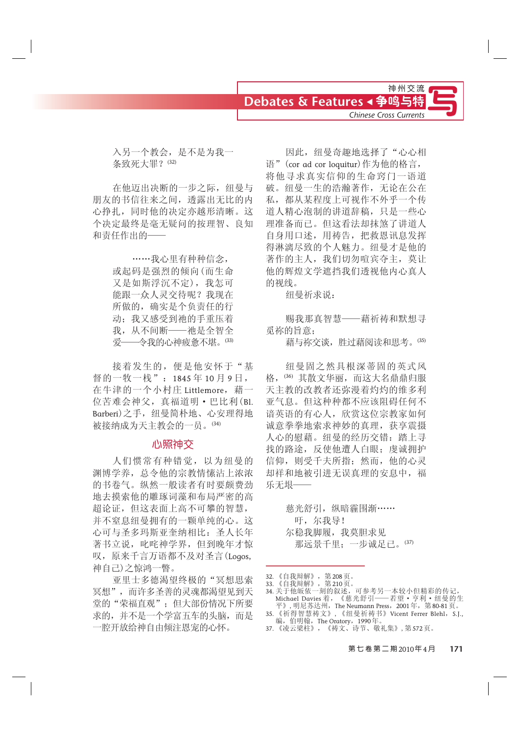

入另一个教会, 是不是为我一 条致死大罪? (32)

在他迈出决断的一步之际, 纽曼与 朋友的书信往来之间,透露出无比的内 心挣扎, 同时他的决定亦越形清晰。这 个决定最终是毫无疑问的按理智、良知 和责任作出的-

> ……我心里有种种信念, 或起码是强烈的倾向(而生命 又是如斯浮沉不定), 我怎可 能跟一众人灵交待呢?我现在 所做的, 确实是个负责任的行 动; 我又感受到祂的手重压着 我, 从不间断——祂是全智全<br>爱——今我的心神疲惫不堪。(33) 一令我的心神疲惫不堪。(33)

接着发生的, 便是他安怀于"基 督的一牧一栈": 1845年10月9日, 在牛津的一个小村庄 Littlemore, 藉一 位苦难会神父, 真福道明 · 巴比利 (Bl. Barberi) 之手, 纽曼简朴地、心安理得地 被接纳成为天主教会的一员。(34)

#### 心照神交

人们惯常有种错觉,以为纽曼的 渊博学养,总令他的宗教情愫沾上浓浓 的书卷气。纵然一般读者有时要颇费劲 地去摸索他的雕琢词藻和布局严密的高 超论证,但这表面上高不可攀的智慧, 并不窒息纽曼拥有的一颗单纯的心。这 心可与圣多玛斯亚奎纳相比: 圣人长年 著书立说,叱咤神学界,但到晚年才惊 叹, 原来千言万语都不及对圣言(Logos, 神自己)之惊鸿一瞥。

亚里士多德渴望终极的"冥想思索 冥想",而许多圣善的灵魂都渴望见到天 堂的"荣福直观";但大部份情况下所要 求的,并不是一个学富五车的头脑,而是 一腔开放给神自由倾注恩宠的心怀。

因此, 纽曼奇趣地选择了"心心相 语" (cor ad cor loquitur)作为他的格言, 将他寻求真实信仰的生命窍门一语道 破。纽曼一生的浩瀚著作,无论在公在 私,都从某程度上可视作不外乎一个传 道人精心泡制的讲道辞稿, 只是一些心 理准备而已。但这看法却抹煞了讲道人 自身用口述,用祷告,把救恩讯息发挥 得淋漓尽致的个人魅力。纽曼才是他的 著作的主人,我们切勿喧宾夺主,莫让 他的辉煌文学遮挡我们透视他内心真人 的视线。

纽曼祈求说:

赐我那真智慧——藉祈祷和默想寻 眾祢的旨意:

藉与祢交谈, 胜过藉阅读和思考。(35)

纽曼固之然具根深蒂固的英式风 格, (36) 其散文华丽, 而这大名鼎鼎归服 天主教的改教者还弥漫着灼灼的维多利 亚气息。但这种种都不应该阻碍任何不 谙英语的有心人,欣赏这位宗教家如何 诚意拳拳地索求神妙的真理, 获享震摄 人心的慰藉。纽曼的经历交错: 踏上寻 找的路途, 反使他遭人白眼; 虔诚拥护 信仰, 则受千夫所指; 然而, 他的心灵 却祥和地被引进无误真理的安息中, 福 乐无垠—

> 慈光舒引, 纵暗霾围渐…… 吁,尔我导! 尔稳我脚履, 我莫胆求见 那远景千里;一步诚足已。(37)

- 32. 《自我辩解》, 第208页。
- 33. 《自我辩解》,第210页。
- 34. 关于他皈依一刻的叙述,可参考另一本较小但精彩的传记,<br>Michael Davies 着,《慈光舒引——若望·亨利·纽曼的生 When we had the Neumann Press, 2001年, 第80-81页。<br>H》,明尼苏达州, The Neumann Press, 2001年, 第80-81页。<br>35.《祈得智慧祷文》, 《细曼祈祷书》Vicent Ferrer Blehl, S.I
- 35. 《祈得智慧祷文》, 《纽曼祈祷书》Vicent Ferrer Blehl,S.J., 编,伯明翰,The Oratory,1990年。
- 37. 《凌云梁柱》, 《祷文、诗节、敬礼集》, 第572页。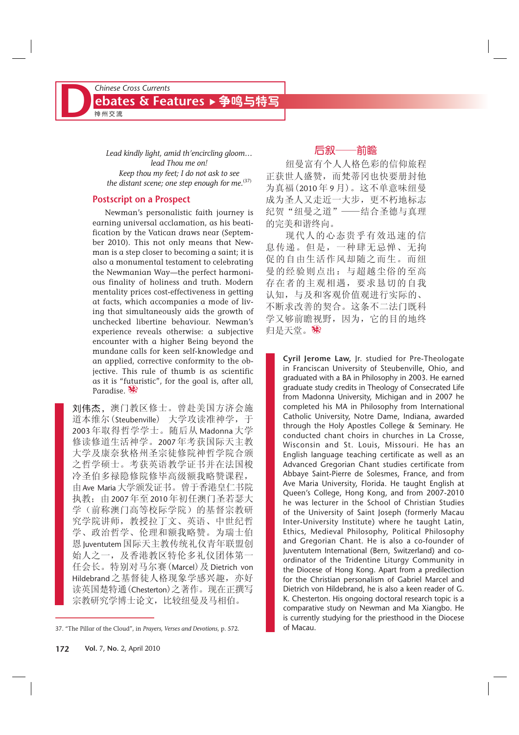*Lead kindly light, amid th'encircling gloom… lead Thou me on! Keep thou my feet; I do not ask to see* the distant scene; one step enough for me.<sup>(37)</sup>

#### **Postscript on a Prospect**

Newman's personalistic faith journey is earning universal acclamation, as his beatification by the Vatican draws near (September 2010). This not only means that Newman is a step closer to becoming a saint; it is also a monumental testament to celebrating the Newmanian Way—the perfect harmonious finality of holiness and truth. Modern mentality prices cost-effectiveness in getting at facts, which accompanies a mode of living that simultaneously aids the growth of unchecked libertine behaviour. Newman's experience reveals otherwise: a subjective encounter with a higher Being beyond the mundane calls for keen self-knowledge and an applied, corrective conformity to the objective. This rule of thumb is as scientific as it is "futuristic", for the goal is, after all, Paradise. ※

刘伟杰, 澳门教区修士。曾赴美国方济会施 道本维尔(Steubenville) 大学攻读准神学, 于 2003年取得哲学学士。随后从 Madonna 大学 修读修道生活神学。2007年考获国际天主教 大学及康奈狄格州圣宗徒修院神哲学院合颁 之哲学硕士。考获英语教学证书并在法国梭 冷圣伯多禄隐修院修毕高级额我略赞课程, 由 Ave Maria 大学颁发证书。曾于香港皇仁书院 执教; 由 2007年至 2010年初任澳门圣若瑟大 学(前称澳门高等校际学院)的基督宗教研 究学院讲师, 教授拉丁文、英语、中世纪哲 学、政治哲学、伦理和额我略赞。为瑞士伯 恩 Juventutem 国际天主教传统礼仪青年联盟创 始人之一, 及香港教区特伦多礼仪团体第一 任会长。特别对马尔赛 (Marcel) 及 Dietrich von Hildebrand 之基督徒人格现象学感兴趣, 亦好 读英国楚特通 (Chesterton) 之著作。现在正撰写 宗教研究学博士论文, 比较纽曼及马相伯。

#### 后叙——前瞻

纽曼富有个人人格色彩的信仰旅程 正获世人盛赞,而梵蒂冈也快要册封他 为真福(2010年9月)。这不单意味纽曼 成为圣人又走近一大步,更不朽地标志 纪贺"纽曼之道" ——结合圣德与真理 的完美和谐终向。

现代人的心态贵乎有效迅速的信 息传递。但是, 一种肆无忌惮、无拘 促的自由生活作风却随之而生。而纽 曼的经验则点出: 与超越尘俗的至高 存在者的主观相遇,要求恳切的自我 认知, 与及和客观价值观进行实际的、 不断求改善的契合。这条不二法门既科 学又够前瞻视野, 因为, 它的目的地终 归是天堂。嫁

> **Cyril Jerome Law,** Jr. studied for Pre-Theologate in Franciscan University of Steubenville, Ohio, and graduated with a BA in Philosophy in 2003. He earned graduate study credits in Theology of Consecrated Life from Madonna University, Michigan and in 2007 he completed his MA in Philosophy from International Catholic University, Notre Dame, Indiana, awarded through the Holy Apostles College & Seminary. He conducted chant choirs in churches in La Crosse, Wisconsin and St. Louis, Missouri. He has an English language teaching certificate as well as an Advanced Gregorian Chant studies certificate from Abbaye Saint-Pierre de Solesmes, France, and from Ave Maria University, Florida. He taught English at Queen's College, Hong Kong, and from 2007-2010 he was lecturer in the School of Christian Studies of the University of Saint Joseph (formerly Macau Inter-University Institute) where he taught Latin, Ethics, Medieval Philosophy, Political Philosophy and Gregorian Chant. He is also a co-founder of Juventutem International (Bern, Switzerland) and coordinator of the Tridentine Liturgy Community in the Diocese of Hong Kong. Apart from a predilection for the Christian personalism of Gabriel Marcel and Dietrich von Hildebrand, he is also a keen reader of G. K. Chesterton. His ongoing doctoral research topic is a comparative study on Newman and Ma Xiangbo. He is currently studying for the priesthood in the Diocese of Macau.

<sup>37. &</sup>quot;The Pillar of the Cloud", in *Prayers, Verses and Devotions*, p. 572.